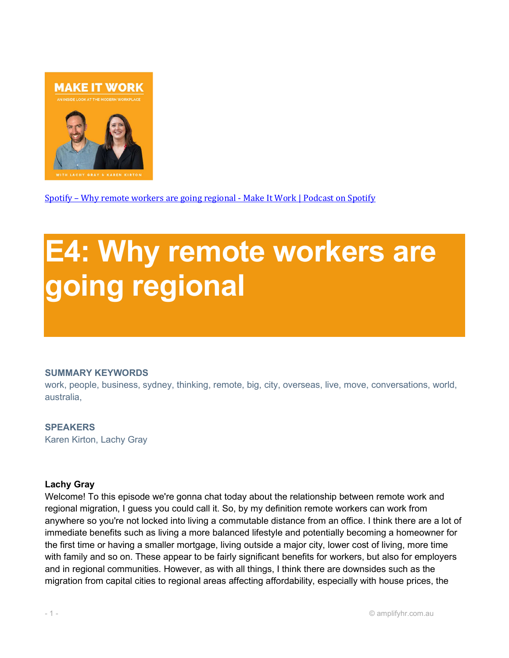

Spotify – Why remote workers are going regional - Make It Work | Podcast on Spotify

# E4: Why remote workers are going regional

#### SUMMARY KEYWORDS

work, people, business, sydney, thinking, remote, big, city, overseas, live, move, conversations, world, australia,

#### **SPEAKERS**

Karen Kirton, Lachy Gray

#### Lachy Gray

Welcome! To this episode we're gonna chat today about the relationship between remote work and regional migration, I guess you could call it. So, by my definition remote workers can work from anywhere so you're not locked into living a commutable distance from an office. I think there are a lot of immediate benefits such as living a more balanced lifestyle and potentially becoming a homeowner for the first time or having a smaller mortgage, living outside a major city, lower cost of living, more time with family and so on. These appear to be fairly significant benefits for workers, but also for employers and in regional communities. However, as with all things, I think there are downsides such as the migration from capital cities to regional areas affecting affordability, especially with house prices, the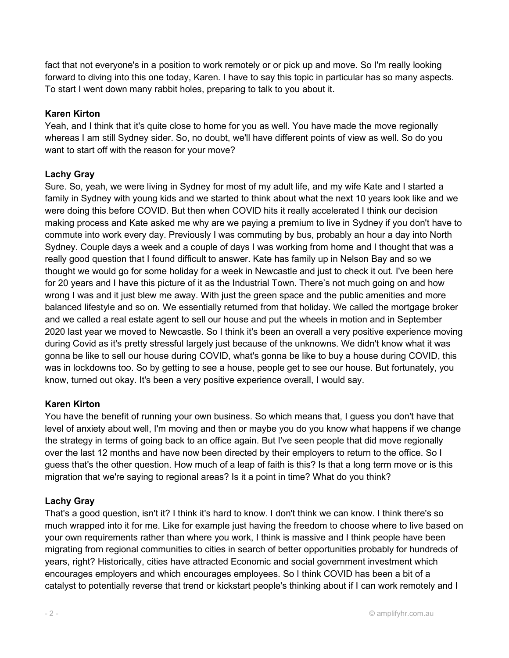fact that not everyone's in a position to work remotely or or pick up and move. So I'm really looking forward to diving into this one today, Karen. I have to say this topic in particular has so many aspects. To start I went down many rabbit holes, preparing to talk to you about it.

## Karen Kirton

Yeah, and I think that it's quite close to home for you as well. You have made the move regionally whereas I am still Sydney sider. So, no doubt, we'll have different points of view as well. So do you want to start off with the reason for your move?

## Lachy Gray

Sure. So, yeah, we were living in Sydney for most of my adult life, and my wife Kate and I started a family in Sydney with young kids and we started to think about what the next 10 years look like and we were doing this before COVID. But then when COVID hits it really accelerated I think our decision making process and Kate asked me why are we paying a premium to live in Sydney if you don't have to commute into work every day. Previously I was commuting by bus, probably an hour a day into North Sydney. Couple days a week and a couple of days I was working from home and I thought that was a really good question that I found difficult to answer. Kate has family up in Nelson Bay and so we thought we would go for some holiday for a week in Newcastle and just to check it out. I've been here for 20 years and I have this picture of it as the Industrial Town. There's not much going on and how wrong I was and it just blew me away. With just the green space and the public amenities and more balanced lifestyle and so on. We essentially returned from that holiday. We called the mortgage broker and we called a real estate agent to sell our house and put the wheels in motion and in September 2020 last year we moved to Newcastle. So I think it's been an overall a very positive experience moving during Covid as it's pretty stressful largely just because of the unknowns. We didn't know what it was gonna be like to sell our house during COVID, what's gonna be like to buy a house during COVID, this was in lockdowns too. So by getting to see a house, people get to see our house. But fortunately, you know, turned out okay. It's been a very positive experience overall, I would say.

## Karen Kirton

You have the benefit of running your own business. So which means that, I guess you don't have that level of anxiety about well, I'm moving and then or maybe you do you know what happens if we change the strategy in terms of going back to an office again. But I've seen people that did move regionally over the last 12 months and have now been directed by their employers to return to the office. So I guess that's the other question. How much of a leap of faith is this? Is that a long term move or is this migration that we're saying to regional areas? Is it a point in time? What do you think?

# Lachy Gray

That's a good question, isn't it? I think it's hard to know. I don't think we can know. I think there's so much wrapped into it for me. Like for example just having the freedom to choose where to live based on your own requirements rather than where you work, I think is massive and I think people have been migrating from regional communities to cities in search of better opportunities probably for hundreds of years, right? Historically, cities have attracted Economic and social government investment which encourages employers and which encourages employees. So I think COVID has been a bit of a catalyst to potentially reverse that trend or kickstart people's thinking about if I can work remotely and I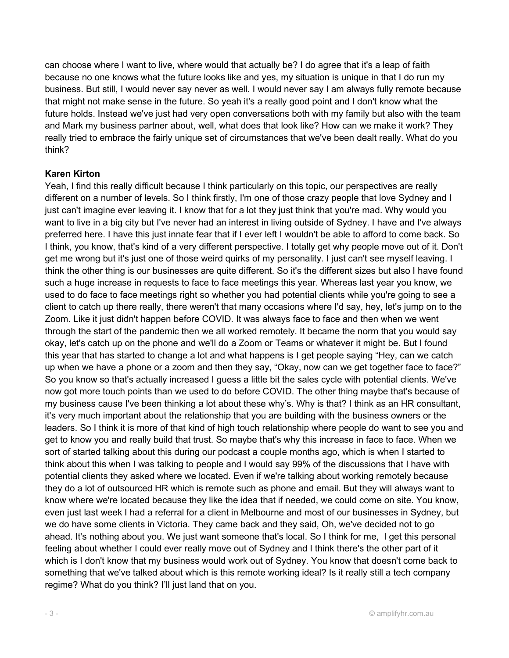can choose where I want to live, where would that actually be? I do agree that it's a leap of faith because no one knows what the future looks like and yes, my situation is unique in that I do run my business. But still, I would never say never as well. I would never say I am always fully remote because that might not make sense in the future. So yeah it's a really good point and I don't know what the future holds. Instead we've just had very open conversations both with my family but also with the team and Mark my business partner about, well, what does that look like? How can we make it work? They really tried to embrace the fairly unique set of circumstances that we've been dealt really. What do you think?

#### Karen Kirton

Yeah, I find this really difficult because I think particularly on this topic, our perspectives are really different on a number of levels. So I think firstly, I'm one of those crazy people that love Sydney and I just can't imagine ever leaving it. I know that for a lot they just think that you're mad. Why would you want to live in a big city but I've never had an interest in living outside of Sydney. I have and I've always preferred here. I have this just innate fear that if I ever left I wouldn't be able to afford to come back. So I think, you know, that's kind of a very different perspective. I totally get why people move out of it. Don't get me wrong but it's just one of those weird quirks of my personality. I just can't see myself leaving. I think the other thing is our businesses are quite different. So it's the different sizes but also I have found such a huge increase in requests to face to face meetings this year. Whereas last year you know, we used to do face to face meetings right so whether you had potential clients while you're going to see a client to catch up there really, there weren't that many occasions where I'd say, hey, let's jump on to the Zoom. Like it just didn't happen before COVID. It was always face to face and then when we went through the start of the pandemic then we all worked remotely. It became the norm that you would say okay, let's catch up on the phone and we'll do a Zoom or Teams or whatever it might be. But I found this year that has started to change a lot and what happens is I get people saying "Hey, can we catch up when we have a phone or a zoom and then they say, "Okay, now can we get together face to face?" So you know so that's actually increased I guess a little bit the sales cycle with potential clients. We've now got more touch points than we used to do before COVID. The other thing maybe that's because of my business cause I've been thinking a lot about these why's. Why is that? I think as an HR consultant, it's very much important about the relationship that you are building with the business owners or the leaders. So I think it is more of that kind of high touch relationship where people do want to see you and get to know you and really build that trust. So maybe that's why this increase in face to face. When we sort of started talking about this during our podcast a couple months ago, which is when I started to think about this when I was talking to people and I would say 99% of the discussions that I have with potential clients they asked where we located. Even if we're talking about working remotely because they do a lot of outsourced HR which is remote such as phone and email. But they will always want to know where we're located because they like the idea that if needed, we could come on site. You know, even just last week I had a referral for a client in Melbourne and most of our businesses in Sydney, but we do have some clients in Victoria. They came back and they said, Oh, we've decided not to go ahead. It's nothing about you. We just want someone that's local. So I think for me, I get this personal feeling about whether I could ever really move out of Sydney and I think there's the other part of it which is I don't know that my business would work out of Sydney. You know that doesn't come back to something that we've talked about which is this remote working ideal? Is it really still a tech company regime? What do you think? I'll just land that on you.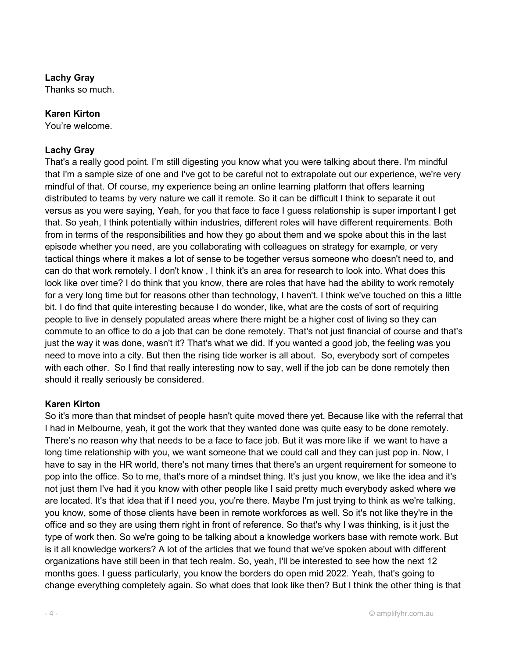## Lachy Gray

Thanks so much.

## Karen Kirton

You're welcome.

# Lachy Gray

That's a really good point. I'm still digesting you know what you were talking about there. I'm mindful that I'm a sample size of one and I've got to be careful not to extrapolate out our experience, we're very mindful of that. Of course, my experience being an online learning platform that offers learning distributed to teams by very nature we call it remote. So it can be difficult I think to separate it out versus as you were saying, Yeah, for you that face to face I guess relationship is super important I get that. So yeah, I think potentially within industries, different roles will have different requirements. Both from in terms of the responsibilities and how they go about them and we spoke about this in the last episode whether you need, are you collaborating with colleagues on strategy for example, or very tactical things where it makes a lot of sense to be together versus someone who doesn't need to, and can do that work remotely. I don't know , I think it's an area for research to look into. What does this look like over time? I do think that you know, there are roles that have had the ability to work remotely for a very long time but for reasons other than technology, I haven't. I think we've touched on this a little bit. I do find that quite interesting because I do wonder, like, what are the costs of sort of requiring people to live in densely populated areas where there might be a higher cost of living so they can commute to an office to do a job that can be done remotely. That's not just financial of course and that's just the way it was done, wasn't it? That's what we did. If you wanted a good job, the feeling was you need to move into a city. But then the rising tide worker is all about. So, everybody sort of competes with each other. So I find that really interesting now to say, well if the job can be done remotely then should it really seriously be considered.

## Karen Kirton

So it's more than that mindset of people hasn't quite moved there yet. Because like with the referral that I had in Melbourne, yeah, it got the work that they wanted done was quite easy to be done remotely. There's no reason why that needs to be a face to face job. But it was more like if we want to have a long time relationship with you, we want someone that we could call and they can just pop in. Now, I have to say in the HR world, there's not many times that there's an urgent requirement for someone to pop into the office. So to me, that's more of a mindset thing. It's just you know, we like the idea and it's not just them I've had it you know with other people like I said pretty much everybody asked where we are located. It's that idea that if I need you, you're there. Maybe I'm just trying to think as we're talking, you know, some of those clients have been in remote workforces as well. So it's not like they're in the office and so they are using them right in front of reference. So that's why I was thinking, is it just the type of work then. So we're going to be talking about a knowledge workers base with remote work. But is it all knowledge workers? A lot of the articles that we found that we've spoken about with different organizations have still been in that tech realm. So, yeah, I'll be interested to see how the next 12 months goes. I guess particularly, you know the borders do open mid 2022. Yeah, that's going to change everything completely again. So what does that look like then? But I think the other thing is that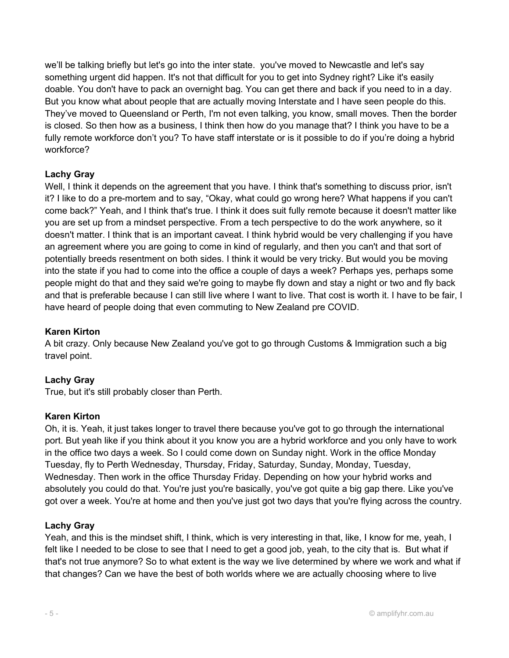we'll be talking briefly but let's go into the inter state. you've moved to Newcastle and let's say something urgent did happen. It's not that difficult for you to get into Sydney right? Like it's easily doable. You don't have to pack an overnight bag. You can get there and back if you need to in a day. But you know what about people that are actually moving Interstate and I have seen people do this. They've moved to Queensland or Perth, I'm not even talking, you know, small moves. Then the border is closed. So then how as a business, I think then how do you manage that? I think you have to be a fully remote workforce don't you? To have staff interstate or is it possible to do if you're doing a hybrid workforce?

## Lachy Gray

Well, I think it depends on the agreement that you have. I think that's something to discuss prior, isn't it? I like to do a pre-mortem and to say, "Okay, what could go wrong here? What happens if you can't come back?" Yeah, and I think that's true. I think it does suit fully remote because it doesn't matter like you are set up from a mindset perspective. From a tech perspective to do the work anywhere, so it doesn't matter. I think that is an important caveat. I think hybrid would be very challenging if you have an agreement where you are going to come in kind of regularly, and then you can't and that sort of potentially breeds resentment on both sides. I think it would be very tricky. But would you be moving into the state if you had to come into the office a couple of days a week? Perhaps yes, perhaps some people might do that and they said we're going to maybe fly down and stay a night or two and fly back and that is preferable because I can still live where I want to live. That cost is worth it. I have to be fair, I have heard of people doing that even commuting to New Zealand pre COVID.

## Karen Kirton

A bit crazy. Only because New Zealand you've got to go through Customs & Immigration such a big travel point.

## Lachy Gray

True, but it's still probably closer than Perth.

## Karen Kirton

Oh, it is. Yeah, it just takes longer to travel there because you've got to go through the international port. But yeah like if you think about it you know you are a hybrid workforce and you only have to work in the office two days a week. So I could come down on Sunday night. Work in the office Monday Tuesday, fly to Perth Wednesday, Thursday, Friday, Saturday, Sunday, Monday, Tuesday, Wednesday. Then work in the office Thursday Friday. Depending on how your hybrid works and absolutely you could do that. You're just you're basically, you've got quite a big gap there. Like you've got over a week. You're at home and then you've just got two days that you're flying across the country.

## Lachy Gray

Yeah, and this is the mindset shift, I think, which is very interesting in that, like, I know for me, yeah, I felt like I needed to be close to see that I need to get a good job, yeah, to the city that is. But what if that's not true anymore? So to what extent is the way we live determined by where we work and what if that changes? Can we have the best of both worlds where we are actually choosing where to live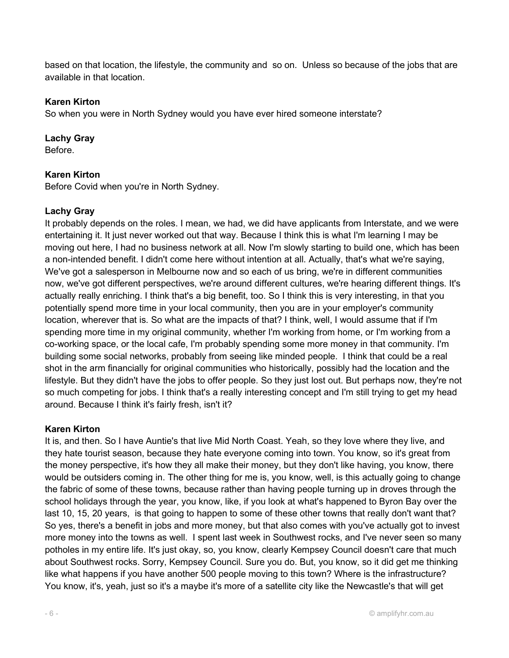based on that location, the lifestyle, the community and so on. Unless so because of the jobs that are available in that location.

## Karen Kirton

So when you were in North Sydney would you have ever hired someone interstate?

## Lachy Gray

Before.

## Karen Kirton

Before Covid when you're in North Sydney.

## Lachy Gray

It probably depends on the roles. I mean, we had, we did have applicants from Interstate, and we were entertaining it. It just never worked out that way. Because I think this is what I'm learning I may be moving out here, I had no business network at all. Now I'm slowly starting to build one, which has been a non-intended benefit. I didn't come here without intention at all. Actually, that's what we're saying, We've got a salesperson in Melbourne now and so each of us bring, we're in different communities now, we've got different perspectives, we're around different cultures, we're hearing different things. It's actually really enriching. I think that's a big benefit, too. So I think this is very interesting, in that you potentially spend more time in your local community, then you are in your employer's community location, wherever that is. So what are the impacts of that? I think, well, I would assume that if I'm spending more time in my original community, whether I'm working from home, or I'm working from a co-working space, or the local cafe, I'm probably spending some more money in that community. I'm building some social networks, probably from seeing like minded people. I think that could be a real shot in the arm financially for original communities who historically, possibly had the location and the lifestyle. But they didn't have the jobs to offer people. So they just lost out. But perhaps now, they're not so much competing for jobs. I think that's a really interesting concept and I'm still trying to get my head around. Because I think it's fairly fresh, isn't it?

## Karen Kirton

It is, and then. So I have Auntie's that live Mid North Coast. Yeah, so they love where they live, and they hate tourist season, because they hate everyone coming into town. You know, so it's great from the money perspective, it's how they all make their money, but they don't like having, you know, there would be outsiders coming in. The other thing for me is, you know, well, is this actually going to change the fabric of some of these towns, because rather than having people turning up in droves through the school holidays through the year, you know, like, if you look at what's happened to Byron Bay over the last 10, 15, 20 years, is that going to happen to some of these other towns that really don't want that? So yes, there's a benefit in jobs and more money, but that also comes with you've actually got to invest more money into the towns as well. I spent last week in Southwest rocks, and I've never seen so many potholes in my entire life. It's just okay, so, you know, clearly Kempsey Council doesn't care that much about Southwest rocks. Sorry, Kempsey Council. Sure you do. But, you know, so it did get me thinking like what happens if you have another 500 people moving to this town? Where is the infrastructure? You know, it's, yeah, just so it's a maybe it's more of a satellite city like the Newcastle's that will get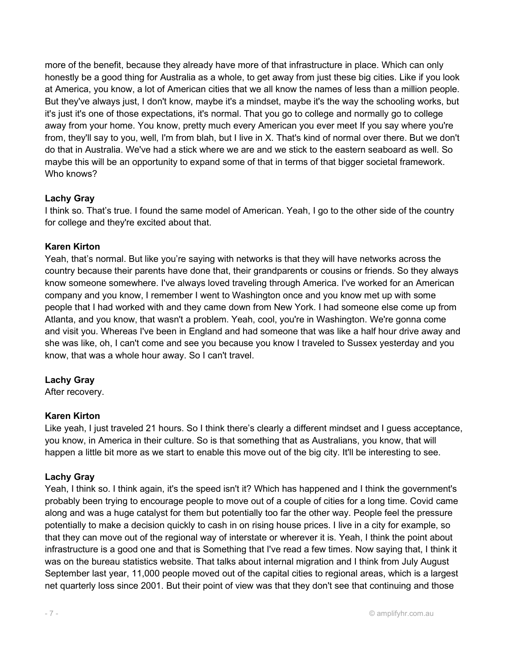more of the benefit, because they already have more of that infrastructure in place. Which can only honestly be a good thing for Australia as a whole, to get away from just these big cities. Like if you look at America, you know, a lot of American cities that we all know the names of less than a million people. But they've always just, I don't know, maybe it's a mindset, maybe it's the way the schooling works, but it's just it's one of those expectations, it's normal. That you go to college and normally go to college away from your home. You know, pretty much every American you ever meet If you say where you're from, they'll say to you, well, I'm from blah, but I live in X. That's kind of normal over there. But we don't do that in Australia. We've had a stick where we are and we stick to the eastern seaboard as well. So maybe this will be an opportunity to expand some of that in terms of that bigger societal framework. Who knows?

## Lachy Gray

I think so. That's true. I found the same model of American. Yeah, I go to the other side of the country for college and they're excited about that.

## Karen Kirton

Yeah, that's normal. But like you're saying with networks is that they will have networks across the country because their parents have done that, their grandparents or cousins or friends. So they always know someone somewhere. I've always loved traveling through America. I've worked for an American company and you know, I remember I went to Washington once and you know met up with some people that I had worked with and they came down from New York. I had someone else come up from Atlanta, and you know, that wasn't a problem. Yeah, cool, you're in Washington. We're gonna come and visit you. Whereas I've been in England and had someone that was like a half hour drive away and she was like, oh, I can't come and see you because you know I traveled to Sussex yesterday and you know, that was a whole hour away. So I can't travel.

## Lachy Gray

After recovery.

## Karen Kirton

Like yeah, I just traveled 21 hours. So I think there's clearly a different mindset and I guess acceptance, you know, in America in their culture. So is that something that as Australians, you know, that will happen a little bit more as we start to enable this move out of the big city. It'll be interesting to see.

#### Lachy Gray

Yeah, I think so. I think again, it's the speed isn't it? Which has happened and I think the government's probably been trying to encourage people to move out of a couple of cities for a long time. Covid came along and was a huge catalyst for them but potentially too far the other way. People feel the pressure potentially to make a decision quickly to cash in on rising house prices. I live in a city for example, so that they can move out of the regional way of interstate or wherever it is. Yeah, I think the point about infrastructure is a good one and that is Something that I've read a few times. Now saying that, I think it was on the bureau statistics website. That talks about internal migration and I think from July August September last year, 11,000 people moved out of the capital cities to regional areas, which is a largest net quarterly loss since 2001. But their point of view was that they don't see that continuing and those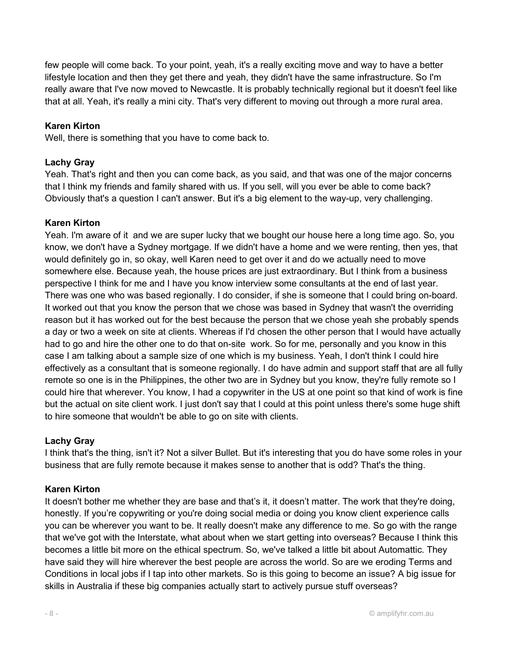few people will come back. To your point, yeah, it's a really exciting move and way to have a better lifestyle location and then they get there and yeah, they didn't have the same infrastructure. So I'm really aware that I've now moved to Newcastle. It is probably technically regional but it doesn't feel like that at all. Yeah, it's really a mini city. That's very different to moving out through a more rural area.

## Karen Kirton

Well, there is something that you have to come back to.

## Lachy Gray

Yeah. That's right and then you can come back, as you said, and that was one of the major concerns that I think my friends and family shared with us. If you sell, will you ever be able to come back? Obviously that's a question I can't answer. But it's a big element to the way-up, very challenging.

## Karen Kirton

Yeah. I'm aware of it and we are super lucky that we bought our house here a long time ago. So, you know, we don't have a Sydney mortgage. If we didn't have a home and we were renting, then yes, that would definitely go in, so okay, well Karen need to get over it and do we actually need to move somewhere else. Because yeah, the house prices are just extraordinary. But I think from a business perspective I think for me and I have you know interview some consultants at the end of last year. There was one who was based regionally. I do consider, if she is someone that I could bring on-board. It worked out that you know the person that we chose was based in Sydney that wasn't the overriding reason but it has worked out for the best because the person that we chose yeah she probably spends a day or two a week on site at clients. Whereas if I'd chosen the other person that I would have actually had to go and hire the other one to do that on-site work. So for me, personally and you know in this case I am talking about a sample size of one which is my business. Yeah, I don't think I could hire effectively as a consultant that is someone regionally. I do have admin and support staff that are all fully remote so one is in the Philippines, the other two are in Sydney but you know, they're fully remote so I could hire that wherever. You know, I had a copywriter in the US at one point so that kind of work is fine but the actual on site client work. I just don't say that I could at this point unless there's some huge shift to hire someone that wouldn't be able to go on site with clients.

## Lachy Gray

I think that's the thing, isn't it? Not a silver Bullet. But it's interesting that you do have some roles in your business that are fully remote because it makes sense to another that is odd? That's the thing.

## Karen Kirton

It doesn't bother me whether they are base and that's it, it doesn't matter. The work that they're doing, honestly. If you're copywriting or you're doing social media or doing you know client experience calls you can be wherever you want to be. It really doesn't make any difference to me. So go with the range that we've got with the Interstate, what about when we start getting into overseas? Because I think this becomes a little bit more on the ethical spectrum. So, we've talked a little bit about Automattic. They have said they will hire wherever the best people are across the world. So are we eroding Terms and Conditions in local jobs if I tap into other markets. So is this going to become an issue? A big issue for skills in Australia if these big companies actually start to actively pursue stuff overseas?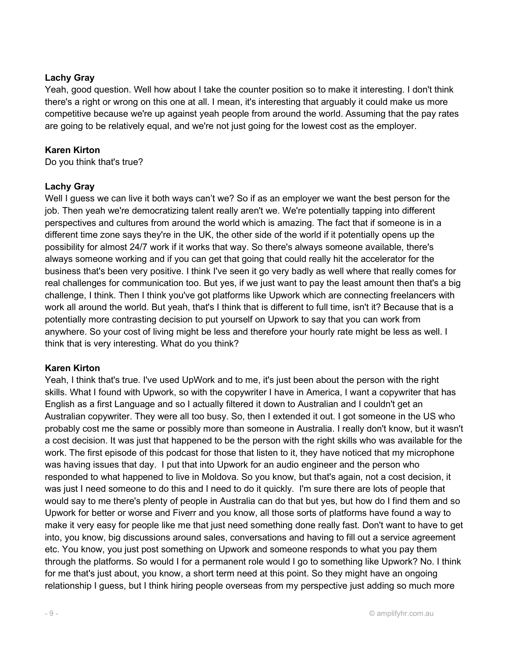# Lachy Gray

Yeah, good question. Well how about I take the counter position so to make it interesting. I don't think there's a right or wrong on this one at all. I mean, it's interesting that arguably it could make us more competitive because we're up against yeah people from around the world. Assuming that the pay rates are going to be relatively equal, and we're not just going for the lowest cost as the employer.

# Karen Kirton

Do you think that's true?

## Lachy Gray

Well I guess we can live it both ways can't we? So if as an employer we want the best person for the job. Then yeah we're democratizing talent really aren't we. We're potentially tapping into different perspectives and cultures from around the world which is amazing. The fact that if someone is in a different time zone says they're in the UK, the other side of the world if it potentially opens up the possibility for almost 24/7 work if it works that way. So there's always someone available, there's always someone working and if you can get that going that could really hit the accelerator for the business that's been very positive. I think I've seen it go very badly as well where that really comes for real challenges for communication too. But yes, if we just want to pay the least amount then that's a big challenge, I think. Then I think you've got platforms like Upwork which are connecting freelancers with work all around the world. But yeah, that's I think that is different to full time, isn't it? Because that is a potentially more contrasting decision to put yourself on Upwork to say that you can work from anywhere. So your cost of living might be less and therefore your hourly rate might be less as well. I think that is very interesting. What do you think?

# Karen Kirton

Yeah, I think that's true. I've used UpWork and to me, it's just been about the person with the right skills. What I found with Upwork, so with the copywriter I have in America, I want a copywriter that has English as a first Language and so I actually filtered it down to Australian and I couldn't get an Australian copywriter. They were all too busy. So, then I extended it out. I got someone in the US who probably cost me the same or possibly more than someone in Australia. I really don't know, but it wasn't a cost decision. It was just that happened to be the person with the right skills who was available for the work. The first episode of this podcast for those that listen to it, they have noticed that my microphone was having issues that day. I put that into Upwork for an audio engineer and the person who responded to what happened to live in Moldova. So you know, but that's again, not a cost decision, it was just I need someone to do this and I need to do it quickly. I'm sure there are lots of people that would say to me there's plenty of people in Australia can do that but yes, but how do I find them and so Upwork for better or worse and Fiverr and you know, all those sorts of platforms have found a way to make it very easy for people like me that just need something done really fast. Don't want to have to get into, you know, big discussions around sales, conversations and having to fill out a service agreement etc. You know, you just post something on Upwork and someone responds to what you pay them through the platforms. So would I for a permanent role would I go to something like Upwork? No. I think for me that's just about, you know, a short term need at this point. So they might have an ongoing relationship I guess, but I think hiring people overseas from my perspective just adding so much more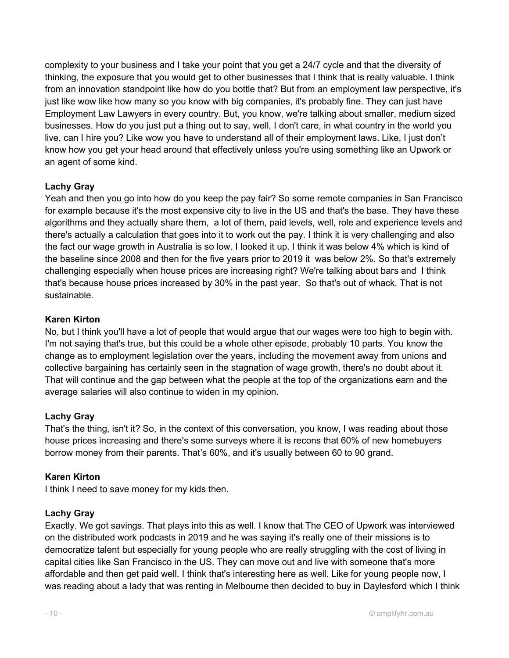complexity to your business and I take your point that you get a 24/7 cycle and that the diversity of thinking, the exposure that you would get to other businesses that I think that is really valuable. I think from an innovation standpoint like how do you bottle that? But from an employment law perspective, it's just like wow like how many so you know with big companies, it's probably fine. They can just have Employment Law Lawyers in every country. But, you know, we're talking about smaller, medium sized businesses. How do you just put a thing out to say, well, I don't care, in what country in the world you live, can I hire you? Like wow you have to understand all of their employment laws. Like, I just don't know how you get your head around that effectively unless you're using something like an Upwork or an agent of some kind.

## Lachy Gray

Yeah and then you go into how do you keep the pay fair? So some remote companies in San Francisco for example because it's the most expensive city to live in the US and that's the base. They have these algorithms and they actually share them, a lot of them, paid levels, well, role and experience levels and there's actually a calculation that goes into it to work out the pay. I think it is very challenging and also the fact our wage growth in Australia is so low. I looked it up. I think it was below 4% which is kind of the baseline since 2008 and then for the five years prior to 2019 it was below 2%. So that's extremely challenging especially when house prices are increasing right? We're talking about bars and I think that's because house prices increased by 30% in the past year. So that's out of whack. That is not sustainable.

## Karen Kirton

No, but I think you'll have a lot of people that would argue that our wages were too high to begin with. I'm not saying that's true, but this could be a whole other episode, probably 10 parts. You know the change as to employment legislation over the years, including the movement away from unions and collective bargaining has certainly seen in the stagnation of wage growth, there's no doubt about it. That will continue and the gap between what the people at the top of the organizations earn and the average salaries will also continue to widen in my opinion.

## Lachy Gray

That's the thing, isn't it? So, in the context of this conversation, you know, I was reading about those house prices increasing and there's some surveys where it is recons that 60% of new homebuyers borrow money from their parents. That's 60%, and it's usually between 60 to 90 grand.

## Karen Kirton

I think I need to save money for my kids then.

#### Lachy Gray

Exactly. We got savings. That plays into this as well. I know that The CEO of Upwork was interviewed on the distributed work podcasts in 2019 and he was saying it's really one of their missions is to democratize talent but especially for young people who are really struggling with the cost of living in capital cities like San Francisco in the US. They can move out and live with someone that's more affordable and then get paid well. I think that's interesting here as well. Like for young people now, I was reading about a lady that was renting in Melbourne then decided to buy in Daylesford which I think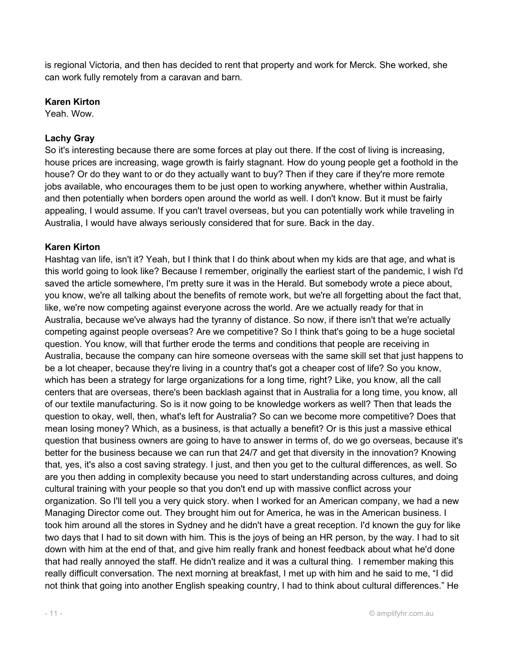is regional Victoria, and then has decided to rent that property and work for Merck. She worked, she can work fully remotely from a caravan and barn.

## Karen Kirton

Yeah. Wow.

## Lachy Gray

So it's interesting because there are some forces at play out there. If the cost of living is increasing, house prices are increasing, wage growth is fairly stagnant. How do young people get a foothold in the house? Or do they want to or do they actually want to buy? Then if they care if they're more remote jobs available, who encourages them to be just open to working anywhere, whether within Australia, and then potentially when borders open around the world as well. I don't know. But it must be fairly appealing, I would assume. If you can't travel overseas, but you can potentially work while traveling in Australia, I would have always seriously considered that for sure. Back in the day.

#### Karen Kirton

Hashtag van life, isn't it? Yeah, but I think that I do think about when my kids are that age, and what is this world going to look like? Because I remember, originally the earliest start of the pandemic, I wish I'd saved the article somewhere, I'm pretty sure it was in the Herald. But somebody wrote a piece about, you know, we're all talking about the benefits of remote work, but we're all forgetting about the fact that, like, we're now competing against everyone across the world. Are we actually ready for that in Australia, because we've always had the tyranny of distance. So now, if there isn't that we're actually competing against people overseas? Are we competitive? So I think that's going to be a huge societal question. You know, will that further erode the terms and conditions that people are receiving in Australia, because the company can hire someone overseas with the same skill set that just happens to be a lot cheaper, because they're living in a country that's got a cheaper cost of life? So you know, which has been a strategy for large organizations for a long time, right? Like, you know, all the call centers that are overseas, there's been backlash against that in Australia for a long time, you know, all of our textile manufacturing. So is it now going to be knowledge workers as well? Then that leads the question to okay, well, then, what's left for Australia? So can we become more competitive? Does that mean losing money? Which, as a business, is that actually a benefit? Or is this just a massive ethical question that business owners are going to have to answer in terms of, do we go overseas, because it's better for the business because we can run that 24/7 and get that diversity in the innovation? Knowing that, yes, it's also a cost saving strategy. I just, and then you get to the cultural differences, as well. So are you then adding in complexity because you need to start understanding across cultures, and doing cultural training with your people so that you don't end up with massive conflict across your organization. So I'll tell you a very quick story. when I worked for an American company, we had a new Managing Director come out. They brought him out for America, he was in the American business. I took him around all the stores in Sydney and he didn't have a great reception. I'd known the guy for like two days that I had to sit down with him. This is the joys of being an HR person, by the way. I had to sit down with him at the end of that, and give him really frank and honest feedback about what he'd done that had really annoyed the staff. He didn't realize and it was a cultural thing. I remember making this really difficult conversation. The next morning at breakfast, I met up with him and he said to me, "I did not think that going into another English speaking country, I had to think about cultural differences." He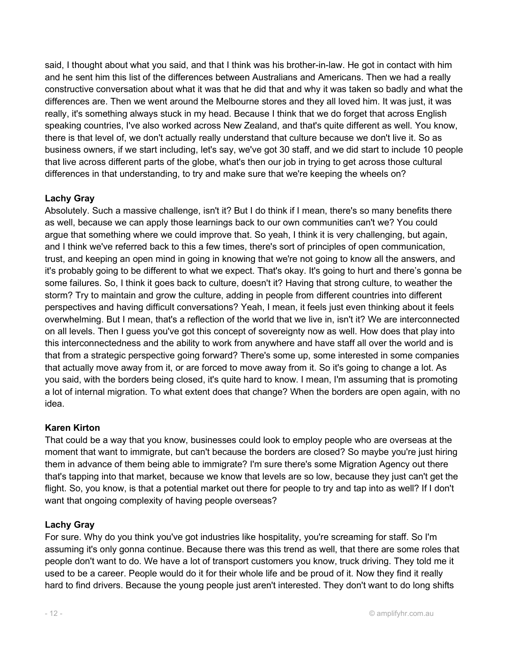said, I thought about what you said, and that I think was his brother-in-law. He got in contact with him and he sent him this list of the differences between Australians and Americans. Then we had a really constructive conversation about what it was that he did that and why it was taken so badly and what the differences are. Then we went around the Melbourne stores and they all loved him. It was just, it was really, it's something always stuck in my head. Because I think that we do forget that across English speaking countries, I've also worked across New Zealand, and that's quite different as well. You know, there is that level of, we don't actually really understand that culture because we don't live it. So as business owners, if we start including, let's say, we've got 30 staff, and we did start to include 10 people that live across different parts of the globe, what's then our job in trying to get across those cultural differences in that understanding, to try and make sure that we're keeping the wheels on?

## Lachy Gray

Absolutely. Such a massive challenge, isn't it? But I do think if I mean, there's so many benefits there as well, because we can apply those learnings back to our own communities can't we? You could argue that something where we could improve that. So yeah, I think it is very challenging, but again, and I think we've referred back to this a few times, there's sort of principles of open communication, trust, and keeping an open mind in going in knowing that we're not going to know all the answers, and it's probably going to be different to what we expect. That's okay. It's going to hurt and there's gonna be some failures. So, I think it goes back to culture, doesn't it? Having that strong culture, to weather the storm? Try to maintain and grow the culture, adding in people from different countries into different perspectives and having difficult conversations? Yeah, I mean, it feels just even thinking about it feels overwhelming. But I mean, that's a reflection of the world that we live in, isn't it? We are interconnected on all levels. Then I guess you've got this concept of sovereignty now as well. How does that play into this interconnectedness and the ability to work from anywhere and have staff all over the world and is that from a strategic perspective going forward? There's some up, some interested in some companies that actually move away from it, or are forced to move away from it. So it's going to change a lot. As you said, with the borders being closed, it's quite hard to know. I mean, I'm assuming that is promoting a lot of internal migration. To what extent does that change? When the borders are open again, with no idea.

## Karen Kirton

That could be a way that you know, businesses could look to employ people who are overseas at the moment that want to immigrate, but can't because the borders are closed? So maybe you're just hiring them in advance of them being able to immigrate? I'm sure there's some Migration Agency out there that's tapping into that market, because we know that levels are so low, because they just can't get the flight. So, you know, is that a potential market out there for people to try and tap into as well? If I don't want that ongoing complexity of having people overseas?

# Lachy Gray

For sure. Why do you think you've got industries like hospitality, you're screaming for staff. So I'm assuming it's only gonna continue. Because there was this trend as well, that there are some roles that people don't want to do. We have a lot of transport customers you know, truck driving. They told me it used to be a career. People would do it for their whole life and be proud of it. Now they find it really hard to find drivers. Because the young people just aren't interested. They don't want to do long shifts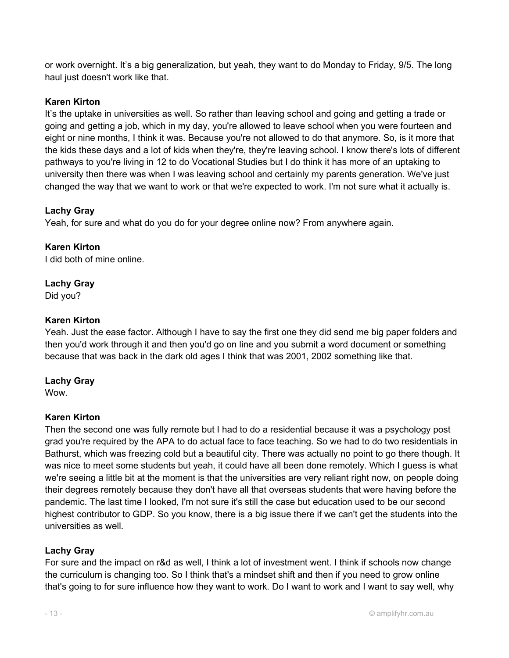or work overnight. It's a big generalization, but yeah, they want to do Monday to Friday, 9/5. The long haul just doesn't work like that.

# Karen Kirton

It's the uptake in universities as well. So rather than leaving school and going and getting a trade or going and getting a job, which in my day, you're allowed to leave school when you were fourteen and eight or nine months, I think it was. Because you're not allowed to do that anymore. So, is it more that the kids these days and a lot of kids when they're, they're leaving school. I know there's lots of different pathways to you're living in 12 to do Vocational Studies but I do think it has more of an uptaking to university then there was when I was leaving school and certainly my parents generation. We've just changed the way that we want to work or that we're expected to work. I'm not sure what it actually is.

## Lachy Gray

Yeah, for sure and what do you do for your degree online now? From anywhere again.

Karen Kirton I did both of mine online.

## Lachy Gray Did you?

## Karen Kirton

Yeah. Just the ease factor. Although I have to say the first one they did send me big paper folders and then you'd work through it and then you'd go on line and you submit a word document or something because that was back in the dark old ages I think that was 2001, 2002 something like that.

## Lachy Gray

Wow.

## Karen Kirton

Then the second one was fully remote but I had to do a residential because it was a psychology post grad you're required by the APA to do actual face to face teaching. So we had to do two residentials in Bathurst, which was freezing cold but a beautiful city. There was actually no point to go there though. It was nice to meet some students but yeah, it could have all been done remotely. Which I guess is what we're seeing a little bit at the moment is that the universities are very reliant right now, on people doing their degrees remotely because they don't have all that overseas students that were having before the pandemic. The last time I looked, I'm not sure it's still the case but education used to be our second highest contributor to GDP. So you know, there is a big issue there if we can't get the students into the universities as well.

# Lachy Gray

For sure and the impact on r&d as well, I think a lot of investment went. I think if schools now change the curriculum is changing too. So I think that's a mindset shift and then if you need to grow online that's going to for sure influence how they want to work. Do I want to work and I want to say well, why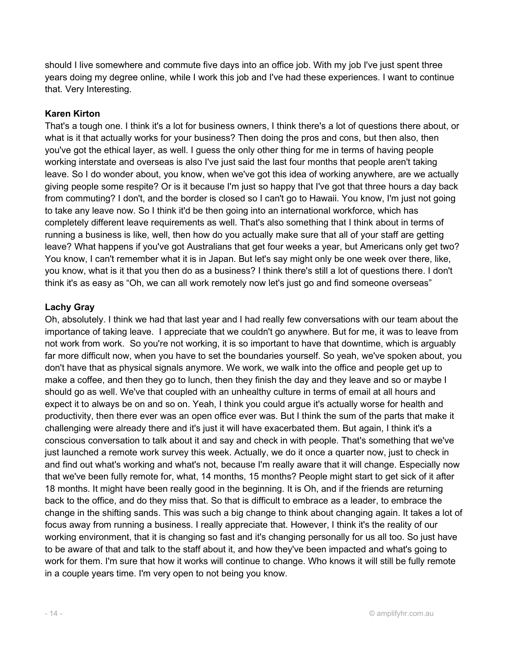should I live somewhere and commute five days into an office job. With my job I've just spent three years doing my degree online, while I work this job and I've had these experiences. I want to continue that. Very Interesting.

## Karen Kirton

That's a tough one. I think it's a lot for business owners, I think there's a lot of questions there about, or what is it that actually works for your business? Then doing the pros and cons, but then also, then you've got the ethical layer, as well. I guess the only other thing for me in terms of having people working interstate and overseas is also I've just said the last four months that people aren't taking leave. So I do wonder about, you know, when we've got this idea of working anywhere, are we actually giving people some respite? Or is it because I'm just so happy that I've got that three hours a day back from commuting? I don't, and the border is closed so I can't go to Hawaii. You know, I'm just not going to take any leave now. So I think it'd be then going into an international workforce, which has completely different leave requirements as well. That's also something that I think about in terms of running a business is like, well, then how do you actually make sure that all of your staff are getting leave? What happens if you've got Australians that get four weeks a year, but Americans only get two? You know, I can't remember what it is in Japan. But let's say might only be one week over there, like, you know, what is it that you then do as a business? I think there's still a lot of questions there. I don't think it's as easy as "Oh, we can all work remotely now let's just go and find someone overseas"

## Lachy Gray

Oh, absolutely. I think we had that last year and I had really few conversations with our team about the importance of taking leave. I appreciate that we couldn't go anywhere. But for me, it was to leave from not work from work. So you're not working, it is so important to have that downtime, which is arguably far more difficult now, when you have to set the boundaries yourself. So yeah, we've spoken about, you don't have that as physical signals anymore. We work, we walk into the office and people get up to make a coffee, and then they go to lunch, then they finish the day and they leave and so or maybe I should go as well. We've that coupled with an unhealthy culture in terms of email at all hours and expect it to always be on and so on. Yeah, I think you could argue it's actually worse for health and productivity, then there ever was an open office ever was. But I think the sum of the parts that make it challenging were already there and it's just it will have exacerbated them. But again, I think it's a conscious conversation to talk about it and say and check in with people. That's something that we've just launched a remote work survey this week. Actually, we do it once a quarter now, just to check in and find out what's working and what's not, because I'm really aware that it will change. Especially now that we've been fully remote for, what, 14 months, 15 months? People might start to get sick of it after 18 months. It might have been really good in the beginning. It is Oh, and if the friends are returning back to the office, and do they miss that. So that is difficult to embrace as a leader, to embrace the change in the shifting sands. This was such a big change to think about changing again. It takes a lot of focus away from running a business. I really appreciate that. However, I think it's the reality of our working environment, that it is changing so fast and it's changing personally for us all too. So just have to be aware of that and talk to the staff about it, and how they've been impacted and what's going to work for them. I'm sure that how it works will continue to change. Who knows it will still be fully remote in a couple years time. I'm very open to not being you know.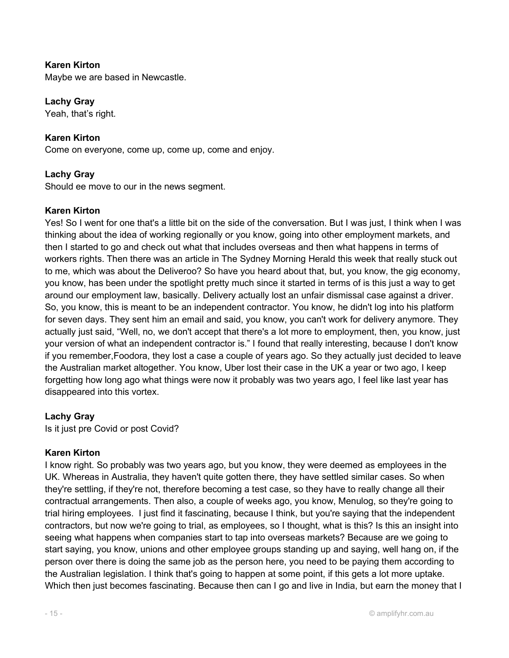## Karen Kirton

Maybe we are based in Newcastle.

## Lachy Gray

Yeah, that's right.

## Karen Kirton

Come on everyone, come up, come up, come and enjoy.

## Lachy Gray

Should ee move to our in the news segment.

## Karen Kirton

Yes! So I went for one that's a little bit on the side of the conversation. But I was just, I think when I was thinking about the idea of working regionally or you know, going into other employment markets, and then I started to go and check out what that includes overseas and then what happens in terms of workers rights. Then there was an article in The Sydney Morning Herald this week that really stuck out to me, which was about the Deliveroo? So have you heard about that, but, you know, the gig economy, you know, has been under the spotlight pretty much since it started in terms of is this just a way to get around our employment law, basically. Delivery actually lost an unfair dismissal case against a driver. So, you know, this is meant to be an independent contractor. You know, he didn't log into his platform for seven days. They sent him an email and said, you know, you can't work for delivery anymore. They actually just said, "Well, no, we don't accept that there's a lot more to employment, then, you know, just your version of what an independent contractor is." I found that really interesting, because I don't know if you remember,Foodora, they lost a case a couple of years ago. So they actually just decided to leave the Australian market altogether. You know, Uber lost their case in the UK a year or two ago, I keep forgetting how long ago what things were now it probably was two years ago, I feel like last year has disappeared into this vortex.

## Lachy Gray

Is it just pre Covid or post Covid?

## Karen Kirton

I know right. So probably was two years ago, but you know, they were deemed as employees in the UK. Whereas in Australia, they haven't quite gotten there, they have settled similar cases. So when they're settling, if they're not, therefore becoming a test case, so they have to really change all their contractual arrangements. Then also, a couple of weeks ago, you know, Menulog, so they're going to trial hiring employees. I just find it fascinating, because I think, but you're saying that the independent contractors, but now we're going to trial, as employees, so I thought, what is this? Is this an insight into seeing what happens when companies start to tap into overseas markets? Because are we going to start saying, you know, unions and other employee groups standing up and saying, well hang on, if the person over there is doing the same job as the person here, you need to be paying them according to the Australian legislation. I think that's going to happen at some point, if this gets a lot more uptake. Which then just becomes fascinating. Because then can I go and live in India, but earn the money that I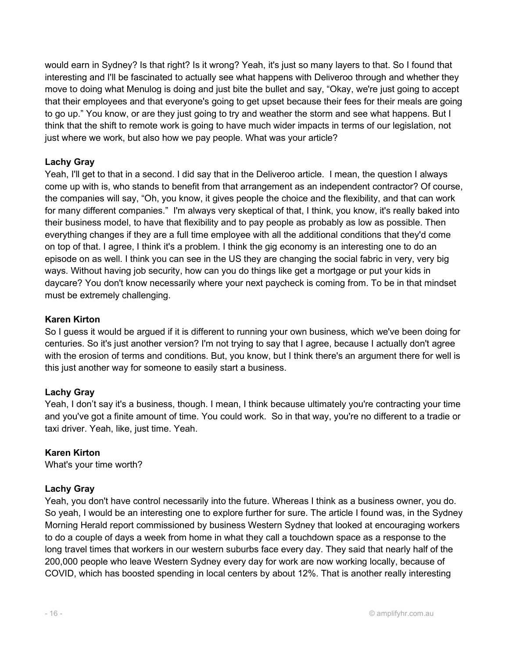would earn in Sydney? Is that right? Is it wrong? Yeah, it's just so many layers to that. So I found that interesting and I'll be fascinated to actually see what happens with Deliveroo through and whether they move to doing what Menulog is doing and just bite the bullet and say, "Okay, we're just going to accept that their employees and that everyone's going to get upset because their fees for their meals are going to go up." You know, or are they just going to try and weather the storm and see what happens. But I think that the shift to remote work is going to have much wider impacts in terms of our legislation, not just where we work, but also how we pay people. What was your article?

## Lachy Gray

Yeah, I'll get to that in a second. I did say that in the Deliveroo article. I mean, the question I always come up with is, who stands to benefit from that arrangement as an independent contractor? Of course, the companies will say, "Oh, you know, it gives people the choice and the flexibility, and that can work for many different companies." I'm always very skeptical of that, I think, you know, it's really baked into their business model, to have that flexibility and to pay people as probably as low as possible. Then everything changes if they are a full time employee with all the additional conditions that they'd come on top of that. I agree, I think it's a problem. I think the gig economy is an interesting one to do an episode on as well. I think you can see in the US they are changing the social fabric in very, very big ways. Without having job security, how can you do things like get a mortgage or put your kids in daycare? You don't know necessarily where your next paycheck is coming from. To be in that mindset must be extremely challenging.

## Karen Kirton

So I guess it would be argued if it is different to running your own business, which we've been doing for centuries. So it's just another version? I'm not trying to say that I agree, because I actually don't agree with the erosion of terms and conditions. But, you know, but I think there's an argument there for well is this just another way for someone to easily start a business.

# Lachy Gray

Yeah, I don't say it's a business, though. I mean, I think because ultimately you're contracting your time and you've got a finite amount of time. You could work. So in that way, you're no different to a tradie or taxi driver. Yeah, like, just time. Yeah.

## Karen Kirton

What's your time worth?

## Lachy Gray

Yeah, you don't have control necessarily into the future. Whereas I think as a business owner, you do. So yeah, I would be an interesting one to explore further for sure. The article I found was, in the Sydney Morning Herald report commissioned by business Western Sydney that looked at encouraging workers to do a couple of days a week from home in what they call a touchdown space as a response to the long travel times that workers in our western suburbs face every day. They said that nearly half of the 200,000 people who leave Western Sydney every day for work are now working locally, because of COVID, which has boosted spending in local centers by about 12%. That is another really interesting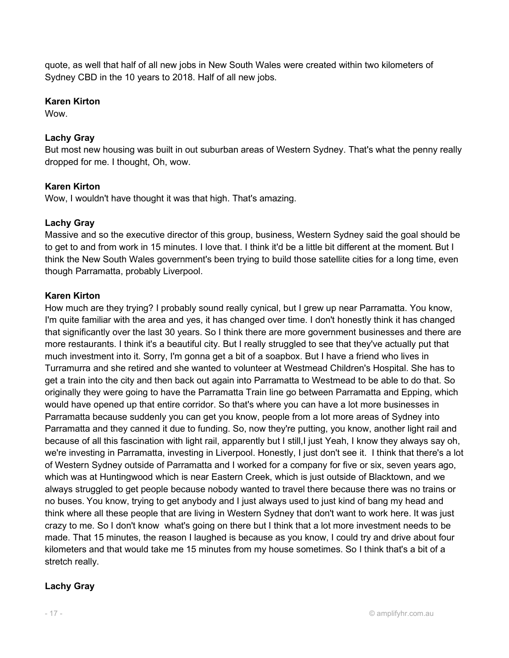quote, as well that half of all new jobs in New South Wales were created within two kilometers of Sydney CBD in the 10 years to 2018. Half of all new jobs.

## Karen Kirton

Wow.

# Lachy Gray

But most new housing was built in out suburban areas of Western Sydney. That's what the penny really dropped for me. I thought, Oh, wow.

# Karen Kirton

Wow, I wouldn't have thought it was that high. That's amazing.

## Lachy Gray

Massive and so the executive director of this group, business, Western Sydney said the goal should be to get to and from work in 15 minutes. I love that. I think it'd be a little bit different at the moment. But I think the New South Wales government's been trying to build those satellite cities for a long time, even though Parramatta, probably Liverpool.

## Karen Kirton

How much are they trying? I probably sound really cynical, but I grew up near Parramatta. You know, I'm quite familiar with the area and yes, it has changed over time. I don't honestly think it has changed that significantly over the last 30 years. So I think there are more government businesses and there are more restaurants. I think it's a beautiful city. But I really struggled to see that they've actually put that much investment into it. Sorry, I'm gonna get a bit of a soapbox. But I have a friend who lives in Turramurra and she retired and she wanted to volunteer at Westmead Children's Hospital. She has to get a train into the city and then back out again into Parramatta to Westmead to be able to do that. So originally they were going to have the Parramatta Train line go between Parramatta and Epping, which would have opened up that entire corridor. So that's where you can have a lot more businesses in Parramatta because suddenly you can get you know, people from a lot more areas of Sydney into Parramatta and they canned it due to funding. So, now they're putting, you know, another light rail and because of all this fascination with light rail, apparently but I still,I just Yeah, I know they always say oh, we're investing in Parramatta, investing in Liverpool. Honestly, I just don't see it. I think that there's a lot of Western Sydney outside of Parramatta and I worked for a company for five or six, seven years ago, which was at Huntingwood which is near Eastern Creek, which is just outside of Blacktown, and we always struggled to get people because nobody wanted to travel there because there was no trains or no buses. You know, trying to get anybody and I just always used to just kind of bang my head and think where all these people that are living in Western Sydney that don't want to work here. It was just crazy to me. So I don't know what's going on there but I think that a lot more investment needs to be made. That 15 minutes, the reason I laughed is because as you know, I could try and drive about four kilometers and that would take me 15 minutes from my house sometimes. So I think that's a bit of a stretch really.

# Lachy Gray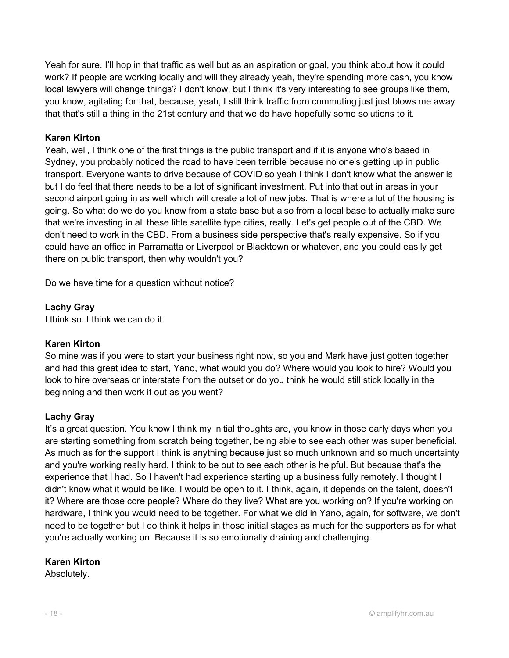Yeah for sure. I'll hop in that traffic as well but as an aspiration or goal, you think about how it could work? If people are working locally and will they already yeah, they're spending more cash, you know local lawyers will change things? I don't know, but I think it's very interesting to see groups like them, you know, agitating for that, because, yeah, I still think traffic from commuting just just blows me away that that's still a thing in the 21st century and that we do have hopefully some solutions to it.

#### Karen Kirton

Yeah, well, I think one of the first things is the public transport and if it is anyone who's based in Sydney, you probably noticed the road to have been terrible because no one's getting up in public transport. Everyone wants to drive because of COVID so yeah I think I don't know what the answer is but I do feel that there needs to be a lot of significant investment. Put into that out in areas in your second airport going in as well which will create a lot of new jobs. That is where a lot of the housing is going. So what do we do you know from a state base but also from a local base to actually make sure that we're investing in all these little satellite type cities, really. Let's get people out of the CBD. We don't need to work in the CBD. From a business side perspective that's really expensive. So if you could have an office in Parramatta or Liverpool or Blacktown or whatever, and you could easily get there on public transport, then why wouldn't you?

Do we have time for a question without notice?

#### Lachy Gray

I think so. I think we can do it.

#### Karen Kirton

So mine was if you were to start your business right now, so you and Mark have just gotten together and had this great idea to start, Yano, what would you do? Where would you look to hire? Would you look to hire overseas or interstate from the outset or do you think he would still stick locally in the beginning and then work it out as you went?

#### Lachy Gray

It's a great question. You know I think my initial thoughts are, you know in those early days when you are starting something from scratch being together, being able to see each other was super beneficial. As much as for the support I think is anything because just so much unknown and so much uncertainty and you're working really hard. I think to be out to see each other is helpful. But because that's the experience that I had. So I haven't had experience starting up a business fully remotely. I thought I didn't know what it would be like. I would be open to it. I think, again, it depends on the talent, doesn't it? Where are those core people? Where do they live? What are you working on? If you're working on hardware, I think you would need to be together. For what we did in Yano, again, for software, we don't need to be together but I do think it helps in those initial stages as much for the supporters as for what you're actually working on. Because it is so emotionally draining and challenging.

## Karen Kirton

Absolutely.